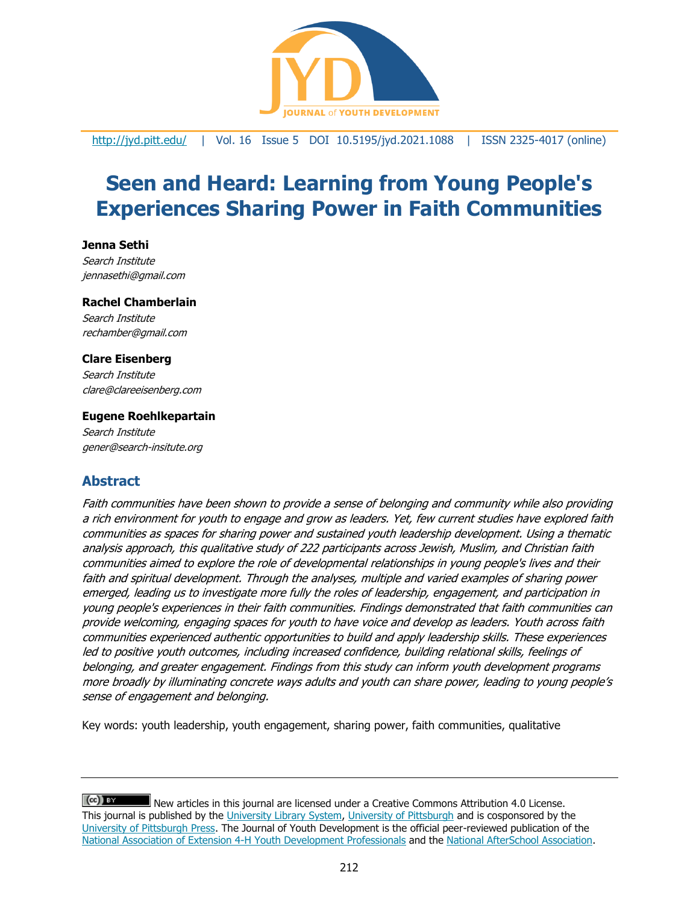

<http://jyd.pitt.edu/> | Vol. 16 Issue 5 DOI 10.5195/jyd.2021.1088 | ISSN 2325-4017 (online)

# **Seen and Heard: Learning from Young People's Experiences Sharing Power in Faith Communities**

**Jenna Sethi** Search Institute jennasethi@gmail.com

**Rachel Chamberlain** Search Institute

rechamber@gmail.com

#### **Clare Eisenberg**

Search Institute clare@clareeisenberg.com

#### **Eugene Roehlkepartain**

Search Institute gener@search-insitute.org

# **Abstract**

Faith communities have been shown to provide a sense of belonging and community while also providing a rich environment for youth to engage and grow as leaders. Yet, few current studies have explored faith communities as spaces for sharing power and sustained youth leadership development. Using a thematic analysis approach, this qualitative study of 222 participants across Jewish, Muslim, and Christian faith communities aimed to explore the role of developmental relationships in young people's lives and their faith and spiritual development. Through the analyses, multiple and varied examples of sharing power emerged, leading us to investigate more fully the roles of leadership, engagement, and participation in young people's experiences in their faith communities. Findings demonstrated that faith communities can provide welcoming, engaging spaces for youth to have voice and develop as leaders. Youth across faith communities experienced authentic opportunities to build and apply leadership skills. These experiences led to positive youth outcomes, including increased confidence, building relational skills, feelings of belonging, and greater engagement. Findings from this study can inform youth development programs more broadly by illuminating concrete ways adults and youth can share power, leading to young people's sense of engagement and belonging.

Key words: youth leadership, youth engagement, sharing power, faith communities, qualitative

 $(cc)$  BY New articles in this journal are licensed under a Creative Commons Attribution 4.0 License. This journal is published by the [University Library System,](http://www.library.pitt.edu/) [University of Pittsburgh](http://www.pitt.edu/) and is cosponsored by the [University of Pittsburgh Press.](http://www.upress.pitt.edu/upressIndex.aspx) The Journal of Youth Development is the official peer-reviewed publication of the [National Association of Extension 4-H Youth Development Professionals](http://www.nae4ha.com/) and the [National AfterSchool Association.](http://naaweb.org/)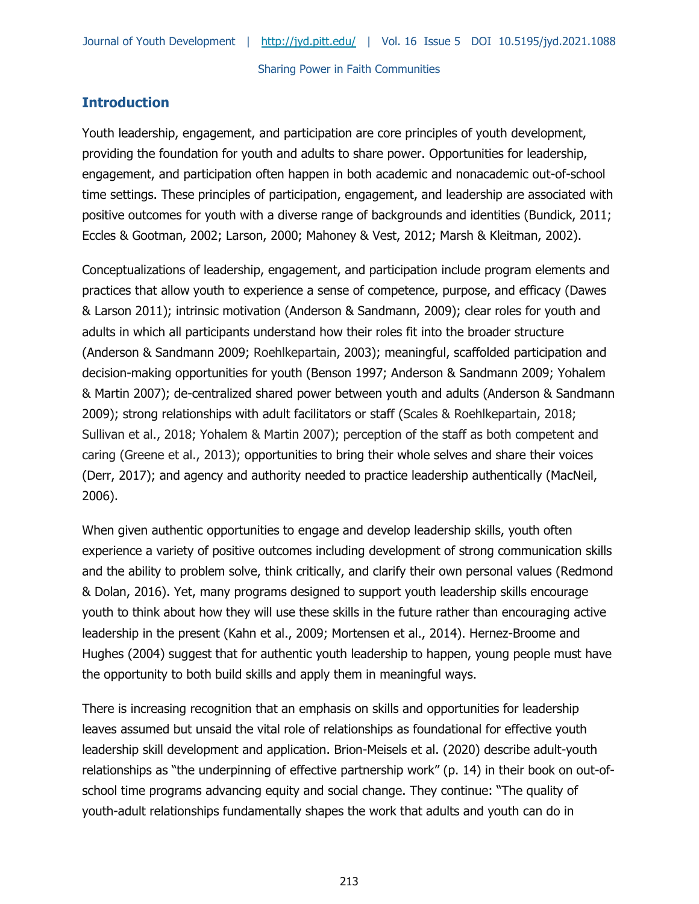# **Introduction**

Youth leadership, engagement, and participation are core principles of youth development, providing the foundation for youth and adults to share power. Opportunities for leadership, engagement, and participation often happen in both academic and nonacademic out-of-school time settings. These principles of participation, engagement, and leadership are associated with positive outcomes for youth with a diverse range of backgrounds and identities (Bundick, 2011; Eccles & Gootman, 2002; Larson, 2000; Mahoney & Vest, 2012; Marsh & Kleitman, 2002).

Conceptualizations of leadership, engagement, and participation include program elements and practices that allow youth to experience a sense of competence, purpose, and efficacy (Dawes & Larson 2011); intrinsic motivation (Anderson & Sandmann, 2009); clear roles for youth and adults in which all participants understand how their roles fit into the broader structure (Anderson & Sandmann 2009; Roehlkepartain, 2003); meaningful, scaffolded participation and decision-making opportunities for youth (Benson 1997; Anderson & Sandmann 2009; Yohalem & Martin 2007); de-centralized shared power between youth and adults (Anderson & Sandmann 2009); strong relationships with adult facilitators or staff (Scales & Roehlkepartain, 2018; Sullivan et al., 2018; Yohalem & Martin 2007); perception of the staff as both competent and caring (Greene et al., 2013); opportunities to bring their whole selves and share their voices (Derr, 2017); and agency and authority needed to practice leadership authentically (MacNeil, 2006).

When given authentic opportunities to engage and develop leadership skills, youth often experience a variety of positive outcomes including development of strong communication skills and the ability to problem solve, think critically, and clarify their own personal values (Redmond & Dolan, 2016). Yet, many programs designed to support youth leadership skills encourage youth to think about how they will use these skills in the future rather than encouraging active leadership in the present (Kahn et al., 2009; Mortensen et al., 2014). Hernez-Broome and Hughes (2004) suggest that for authentic youth leadership to happen, young people must have the opportunity to both build skills and apply them in meaningful ways.

There is increasing recognition that an emphasis on skills and opportunities for leadership leaves assumed but unsaid the vital role of relationships as foundational for effective youth leadership skill development and application. Brion-Meisels et al. (2020) describe adult-youth relationships as "the underpinning of effective partnership work" (p. 14) in their book on out-ofschool time programs advancing equity and social change. They continue: "The quality of youth-adult relationships fundamentally shapes the work that adults and youth can do in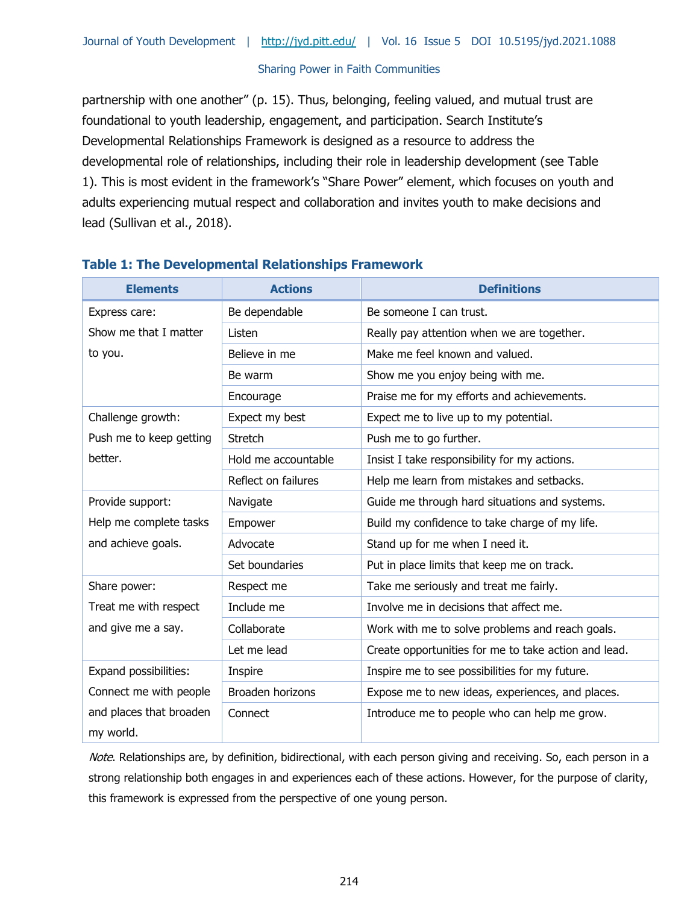partnership with one another" (p. 15). Thus, belonging, feeling valued, and mutual trust are foundational to youth leadership, engagement, and participation. Search Institute's Developmental Relationships Framework is designed as a resource to address the developmental role of relationships, including their role in leadership development (see Table 1). This is most evident in the framework's "Share Power" element, which focuses on youth and adults experiencing mutual respect and collaboration and invites youth to make decisions and lead (Sullivan et al., 2018).

| <b>Elements</b>         | <b>Actions</b>      | <b>Definitions</b>                                   |
|-------------------------|---------------------|------------------------------------------------------|
| Express care:           | Be dependable       | Be someone I can trust.                              |
| Show me that I matter   | Listen              | Really pay attention when we are together.           |
| to you.                 | Believe in me       | Make me feel known and valued.                       |
|                         | Be warm             | Show me you enjoy being with me.                     |
|                         | Encourage           | Praise me for my efforts and achievements.           |
| Challenge growth:       | Expect my best      | Expect me to live up to my potential.                |
| Push me to keep getting | Stretch             | Push me to go further.                               |
| better.                 | Hold me accountable | Insist I take responsibility for my actions.         |
|                         | Reflect on failures | Help me learn from mistakes and setbacks.            |
| Provide support:        | Navigate            | Guide me through hard situations and systems.        |
| Help me complete tasks  | Empower             | Build my confidence to take charge of my life.       |
| and achieve goals.      | Advocate            | Stand up for me when I need it.                      |
|                         | Set boundaries      | Put in place limits that keep me on track.           |
| Share power:            | Respect me          | Take me seriously and treat me fairly.               |
| Treat me with respect   | Include me          | Involve me in decisions that affect me.              |
| and give me a say.      | Collaborate         | Work with me to solve problems and reach goals.      |
|                         | Let me lead         | Create opportunities for me to take action and lead. |
| Expand possibilities:   | Inspire             | Inspire me to see possibilities for my future.       |
| Connect me with people  | Broaden horizons    | Expose me to new ideas, experiences, and places.     |
| and places that broaden | Connect             | Introduce me to people who can help me grow.         |
| my world.               |                     |                                                      |

#### **Table 1: The Developmental Relationships Framework**

Note. Relationships are, by definition, bidirectional, with each person giving and receiving. So, each person in a strong relationship both engages in and experiences each of these actions. However, for the purpose of clarity, this framework is expressed from the perspective of one young person.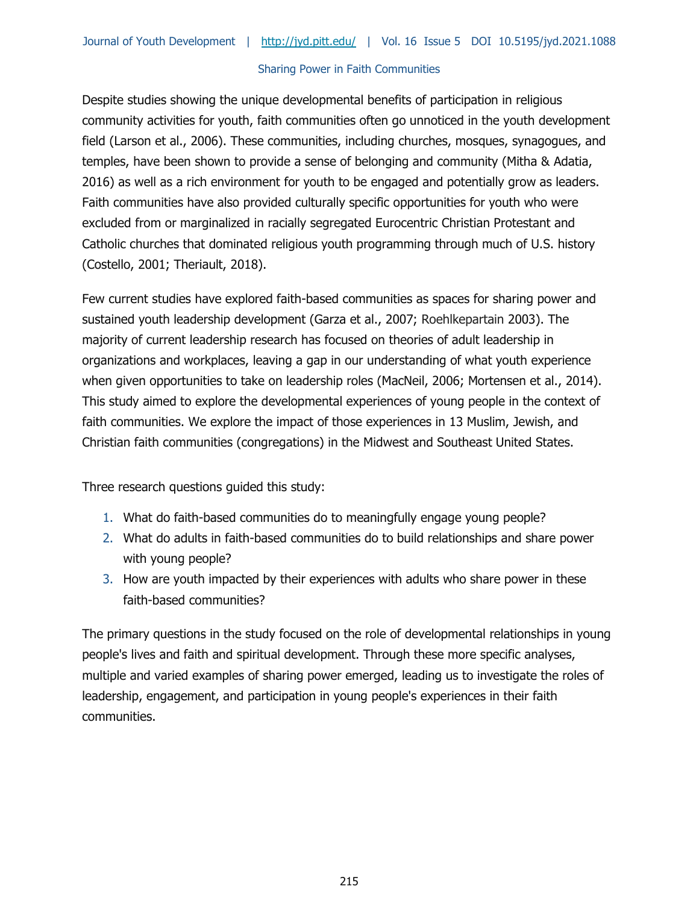Despite studies showing the unique developmental benefits of participation in religious community activities for youth, faith communities often go unnoticed in the youth development field (Larson et al., 2006). These communities, including churches, mosques, synagogues, and temples, have been shown to provide a sense of belonging and community (Mitha & Adatia, 2016) as well as a rich environment for youth to be engaged and potentially grow as leaders. Faith communities have also provided culturally specific opportunities for youth who were excluded from or marginalized in racially segregated Eurocentric Christian Protestant and Catholic churches that dominated religious youth programming through much of U.S. history (Costello, 2001; Theriault, 2018).

Few current studies have explored faith-based communities as spaces for sharing power and sustained youth leadership development (Garza et al., 2007; Roehlkepartain 2003). The majority of current leadership research has focused on theories of adult leadership in organizations and workplaces, leaving a gap in our understanding of what youth experience when given opportunities to take on leadership roles (MacNeil, 2006; Mortensen et al., 2014). This study aimed to explore the developmental experiences of young people in the context of faith communities. We explore the impact of those experiences in 13 Muslim, Jewish, and Christian faith communities (congregations) in the Midwest and Southeast United States.

Three research questions guided this study:

- 1. What do faith-based communities do to meaningfully engage young people?
- 2. What do adults in faith-based communities do to build relationships and share power with young people?
- 3. How are youth impacted by their experiences with adults who share power in these faith-based communities?

The primary questions in the study focused on the role of developmental relationships in young people's lives and faith and spiritual development. Through these more specific analyses, multiple and varied examples of sharing power emerged, leading us to investigate the roles of leadership, engagement, and participation in young people's experiences in their faith communities.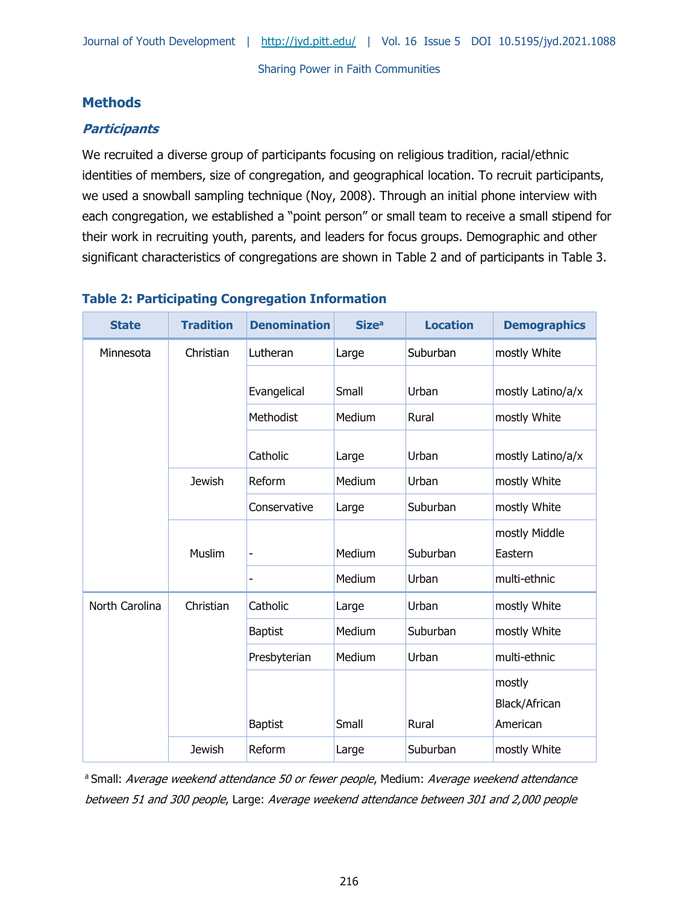# **Methods**

#### **Participants**

We recruited a diverse group of participants focusing on religious tradition, racial/ethnic identities of members, size of congregation, and geographical location. To recruit participants, we used a snowball sampling technique (Noy, 2008). Through an initial phone interview with each congregation, we established a "point person" or small team to receive a small stipend for their work in recruiting youth, parents, and leaders for focus groups. Demographic and other significant characteristics of congregations are shown in Table 2 and of participants in Table 3.

| <b>State</b>   | <b>Tradition</b> | <b>Denomination</b> | <b>Size<sup>a</sup></b> | <b>Location</b> | <b>Demographics</b>                 |
|----------------|------------------|---------------------|-------------------------|-----------------|-------------------------------------|
| Minnesota      | Christian        | Lutheran            | Large                   | Suburban        | mostly White                        |
|                |                  | Evangelical         | Small                   | Urban           | mostly Latino/a/x                   |
|                |                  | Methodist           | Medium                  | Rural           | mostly White                        |
|                |                  | Catholic            | Large                   | Urban           | mostly Latino/a/x                   |
|                | <b>Jewish</b>    | Reform              | Medium                  | Urban           | mostly White                        |
|                |                  | Conservative        | Large                   | Suburban        | mostly White                        |
|                | <b>Muslim</b>    | ÷                   | Medium                  | Suburban        | mostly Middle<br>Eastern            |
|                |                  | -                   | Medium                  | Urban           | multi-ethnic                        |
| North Carolina | Christian        | Catholic            | Large                   | Urban           | mostly White                        |
|                |                  | <b>Baptist</b>      | Medium                  | Suburban        | mostly White                        |
|                |                  | Presbyterian        | Medium                  | Urban           | multi-ethnic                        |
|                |                  | <b>Baptist</b>      | Small                   | Rural           | mostly<br>Black/African<br>American |
|                | Jewish           | Reform              | Large                   | Suburban        | mostly White                        |

# **Table 2: Participating Congregation Information**

<sup>a</sup> Small: Average weekend attendance 50 or fewer people, Medium: Average weekend attendance between 51 and 300 people, Large: Average weekend attendance between 301 and 2,000 people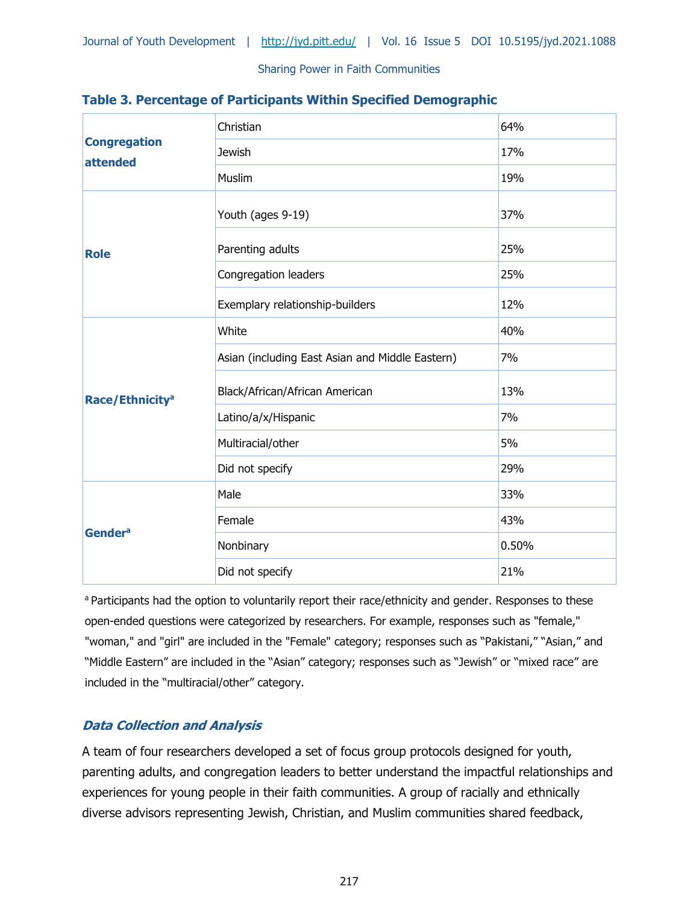| <b>Congregation</b><br>attended | Christian                                       | 64%   |
|---------------------------------|-------------------------------------------------|-------|
|                                 | <b>Jewish</b>                                   | 17%   |
|                                 | Muslim                                          | 19%   |
| <b>Role</b>                     | Youth (ages 9-19)                               | 37%   |
|                                 | Parenting adults                                | 25%   |
|                                 | Congregation leaders                            | 25%   |
|                                 | Exemplary relationship-builders                 | 12%   |
| Race/Ethnicity <sup>a</sup>     | White                                           | 40%   |
|                                 | Asian (including East Asian and Middle Eastern) | 7%    |
|                                 | Black/African/African American                  | 13%   |
|                                 | Latino/a/x/Hispanic                             | 7%    |
|                                 | Multiracial/other                               | 5%    |
|                                 | Did not specify                                 | 29%   |
| <b>Gendera</b>                  | Male                                            | 33%   |
|                                 | Female                                          | 43%   |
|                                 | Nonbinary                                       | 0.50% |
|                                 | Did not specify                                 | 21%   |

|  |  | <b>Table 3. Percentage of Participants Within Specified Demographic</b> |
|--|--|-------------------------------------------------------------------------|
|--|--|-------------------------------------------------------------------------|

a Participants had the option to voluntarily report their race/ethnicity and gender. Responses to these open-ended questions were categorized by researchers. For example, responses such as "female," "woman," and "girl" are included in the "Female" category; responses such as "Pakistani," "Asian," and "Middle Eastern" are included in the "Asian" category; responses such as "Jewish" or "mixed race" are included in the "multiracial/other" category.

# **Data Collection and Analysis**

A team of four researchers developed a set of focus group protocols designed for youth, parenting adults, and congregation leaders to better understand the impactful relationships and experiences for young people in their faith communities. A group of racially and ethnically diverse advisors representing Jewish, Christian, and Muslim communities shared feedback,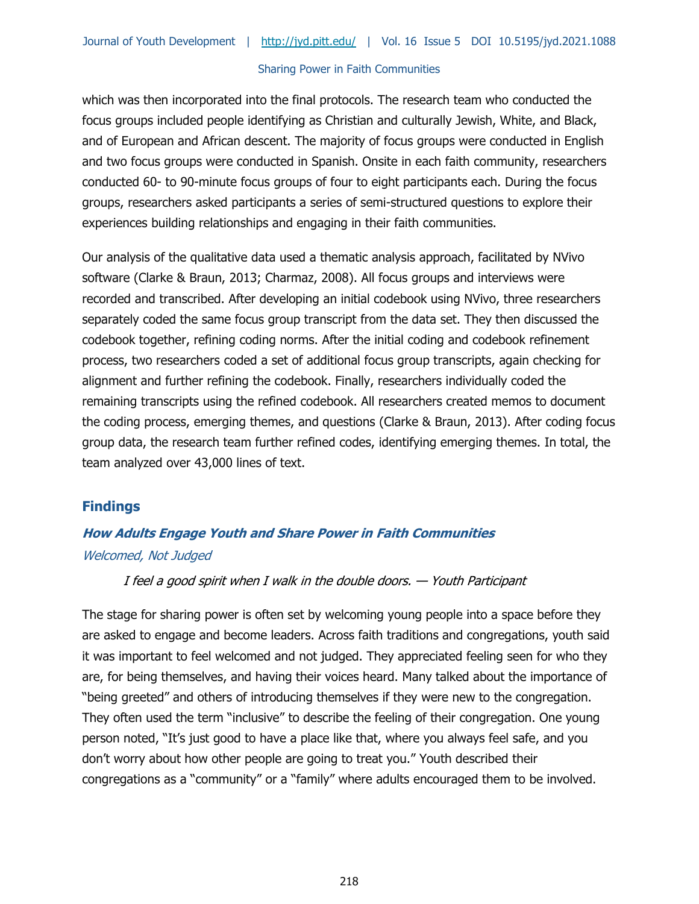which was then incorporated into the final protocols. The research team who conducted the focus groups included people identifying as Christian and culturally Jewish, White, and Black, and of European and African descent. The majority of focus groups were conducted in English and two focus groups were conducted in Spanish. Onsite in each faith community, researchers conducted 60- to 90-minute focus groups of four to eight participants each. During the focus groups, researchers asked participants a series of semi-structured questions to explore their experiences building relationships and engaging in their faith communities.

Our analysis of the qualitative data used a thematic analysis approach, facilitated by NVivo software (Clarke & Braun, 2013; Charmaz, 2008). All focus groups and interviews were recorded and transcribed. After developing an initial codebook using NVivo, three researchers separately coded the same focus group transcript from the data set. They then discussed the codebook together, refining coding norms. After the initial coding and codebook refinement process, two researchers coded a set of additional focus group transcripts, again checking for alignment and further refining the codebook. Finally, researchers individually coded the remaining transcripts using the refined codebook. All researchers created memos to document the coding process, emerging themes, and questions (Clarke & Braun, 2013). After coding focus group data, the research team further refined codes, identifying emerging themes. In total, the team analyzed over 43,000 lines of text.

#### **Findings**

# **How Adults Engage Youth and Share Power in Faith Communities** Welcomed, Not Judged

I feel a good spirit when I walk in the double doors. — Youth Participant

The stage for sharing power is often set by welcoming young people into a space before they are asked to engage and become leaders. Across faith traditions and congregations, youth said it was important to feel welcomed and not judged. They appreciated feeling seen for who they are, for being themselves, and having their voices heard. Many talked about the importance of "being greeted" and others of introducing themselves if they were new to the congregation. They often used the term "inclusive" to describe the feeling of their congregation. One young person noted, "It's just good to have a place like that, where you always feel safe, and you don't worry about how other people are going to treat you." Youth described their congregations as a "community" or a "family" where adults encouraged them to be involved.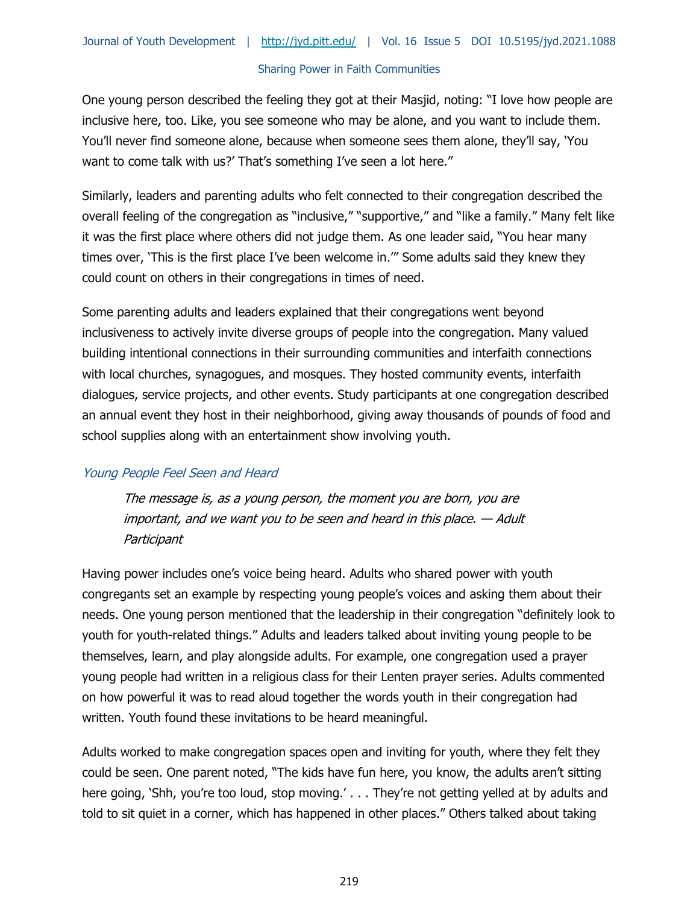One young person described the feeling they got at their Masjid, noting: "I love how people are inclusive here, too. Like, you see someone who may be alone, and you want to include them. You'll never find someone alone, because when someone sees them alone, they'll say, 'You want to come talk with us?' That's something I've seen a lot here."

Similarly, leaders and parenting adults who felt connected to their congregation described the overall feeling of the congregation as "inclusive," "supportive," and "like a family." Many felt like it was the first place where others did not judge them. As one leader said, "You hear many times over, 'This is the first place I've been welcome in.'" Some adults said they knew they could count on others in their congregations in times of need.

Some parenting adults and leaders explained that their congregations went beyond inclusiveness to actively invite diverse groups of people into the congregation. Many valued building intentional connections in their surrounding communities and interfaith connections with local churches, synagogues, and mosques. They hosted community events, interfaith dialogues, service projects, and other events. Study participants at one congregation described an annual event they host in their neighborhood, giving away thousands of pounds of food and school supplies along with an entertainment show involving youth.

# Young People Feel Seen and Heard

The message is, as a young person, the moment you are born, you are important, and we want you to be seen and heard in this place. — Adult Participant

Having power includes one's voice being heard. Adults who shared power with youth congregants set an example by respecting young people's voices and asking them about their needs. One young person mentioned that the leadership in their congregation "definitely look to youth for youth-related things." Adults and leaders talked about inviting young people to be themselves, learn, and play alongside adults. For example, one congregation used a prayer young people had written in a religious class for their Lenten prayer series. Adults commented on how powerful it was to read aloud together the words youth in their congregation had written. Youth found these invitations to be heard meaningful.

Adults worked to make congregation spaces open and inviting for youth, where they felt they could be seen. One parent noted, "The kids have fun here, you know, the adults aren't sitting here going, 'Shh, you're too loud, stop moving.' . . . They're not getting yelled at by adults and told to sit quiet in a corner, which has happened in other places." Others talked about taking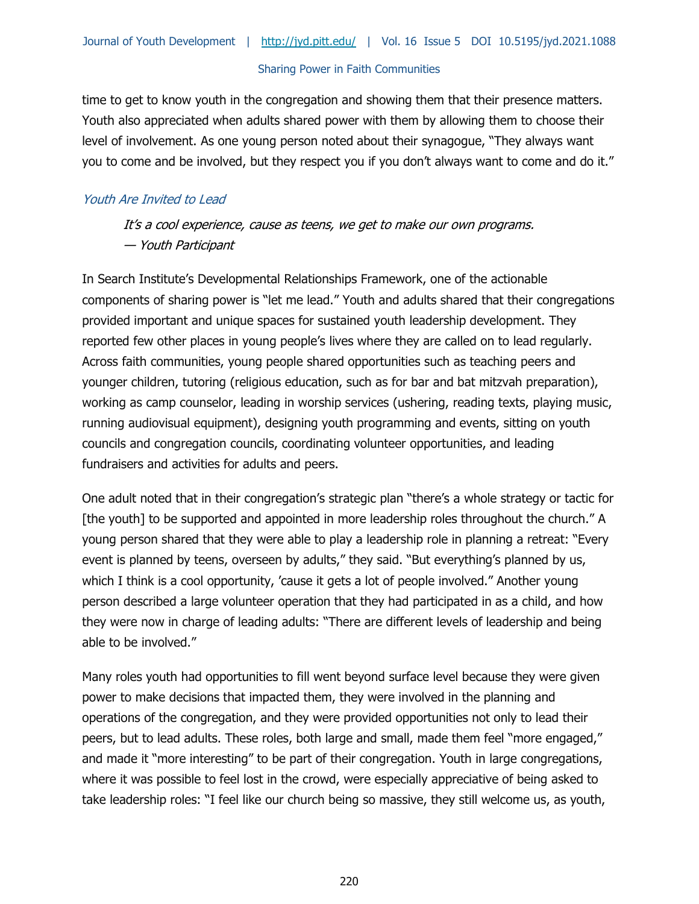time to get to know youth in the congregation and showing them that their presence matters. Youth also appreciated when adults shared power with them by allowing them to choose their level of involvement. As one young person noted about their synagogue, "They always want you to come and be involved, but they respect you if you don't always want to come and do it."

#### Youth Are Invited to Lead

It's a cool experience, cause as teens, we get to make our own programs. — Youth Participant

In Search Institute's Developmental Relationships Framework, one of the actionable components of sharing power is "let me lead." Youth and adults shared that their congregations provided important and unique spaces for sustained youth leadership development. They reported few other places in young people's lives where they are called on to lead regularly. Across faith communities, young people shared opportunities such as teaching peers and younger children, tutoring (religious education, such as for bar and bat mitzvah preparation), working as camp counselor, leading in worship services (ushering, reading texts, playing music, running audiovisual equipment), designing youth programming and events, sitting on youth councils and congregation councils, coordinating volunteer opportunities, and leading fundraisers and activities for adults and peers.

One adult noted that in their congregation's strategic plan "there's a whole strategy or tactic for [the youth] to be supported and appointed in more leadership roles throughout the church." A young person shared that they were able to play a leadership role in planning a retreat: "Every event is planned by teens, overseen by adults," they said. "But everything's planned by us, which I think is a cool opportunity, 'cause it gets a lot of people involved." Another young person described a large volunteer operation that they had participated in as a child, and how they were now in charge of leading adults: "There are different levels of leadership and being able to be involved."

Many roles youth had opportunities to fill went beyond surface level because they were given power to make decisions that impacted them, they were involved in the planning and operations of the congregation, and they were provided opportunities not only to lead their peers, but to lead adults. These roles, both large and small, made them feel "more engaged," and made it "more interesting" to be part of their congregation. Youth in large congregations, where it was possible to feel lost in the crowd, were especially appreciative of being asked to take leadership roles: "I feel like our church being so massive, they still welcome us, as youth,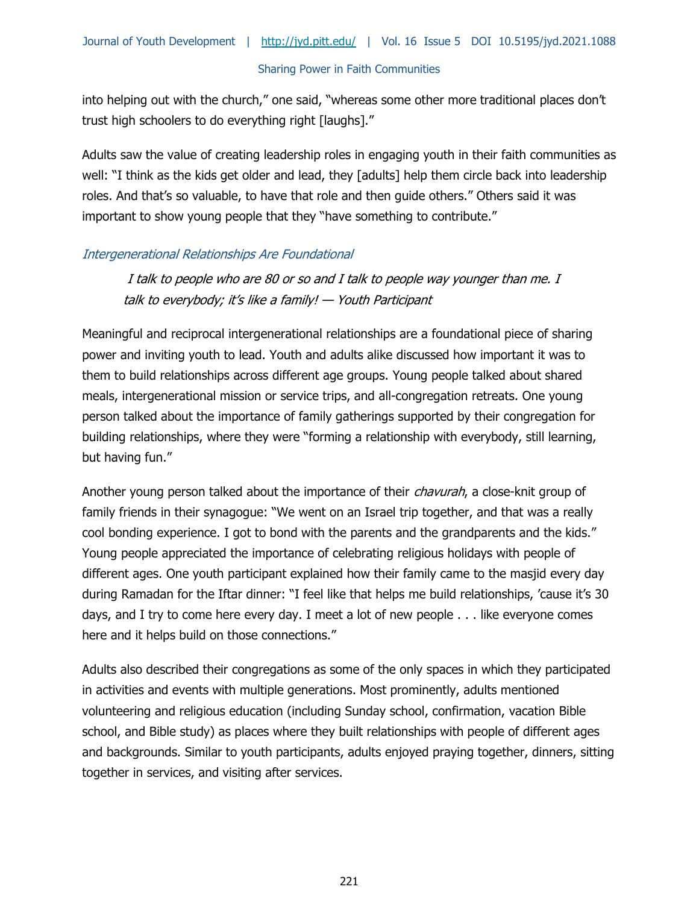into helping out with the church," one said, "whereas some other more traditional places don't trust high schoolers to do everything right [laughs]."

Adults saw the value of creating leadership roles in engaging youth in their faith communities as well: "I think as the kids get older and lead, they [adults] help them circle back into leadership roles. And that's so valuable, to have that role and then guide others." Others said it was important to show young people that they "have something to contribute."

#### Intergenerational Relationships Are Foundational

I talk to people who are 80 or so and I talk to people way younger than me. I talk to everybody; it's like a family! — Youth Participant

Meaningful and reciprocal intergenerational relationships are a foundational piece of sharing power and inviting youth to lead. Youth and adults alike discussed how important it was to them to build relationships across different age groups. Young people talked about shared meals, intergenerational mission or service trips, and all-congregation retreats. One young person talked about the importance of family gatherings supported by their congregation for building relationships, where they were "forming a relationship with everybody, still learning, but having fun."

Another young person talked about the importance of their *chavurah*, a close-knit group of family friends in their synagogue: "We went on an Israel trip together, and that was a really cool bonding experience. I got to bond with the parents and the grandparents and the kids." Young people appreciated the importance of celebrating religious holidays with people of different ages. One youth participant explained how their family came to the masjid every day during Ramadan for the Iftar dinner: "I feel like that helps me build relationships, 'cause it's 30 days, and I try to come here every day. I meet a lot of new people . . . like everyone comes here and it helps build on those connections."

Adults also described their congregations as some of the only spaces in which they participated in activities and events with multiple generations. Most prominently, adults mentioned volunteering and religious education (including Sunday school, confirmation, vacation Bible school, and Bible study) as places where they built relationships with people of different ages and backgrounds. Similar to youth participants, adults enjoyed praying together, dinners, sitting together in services, and visiting after services.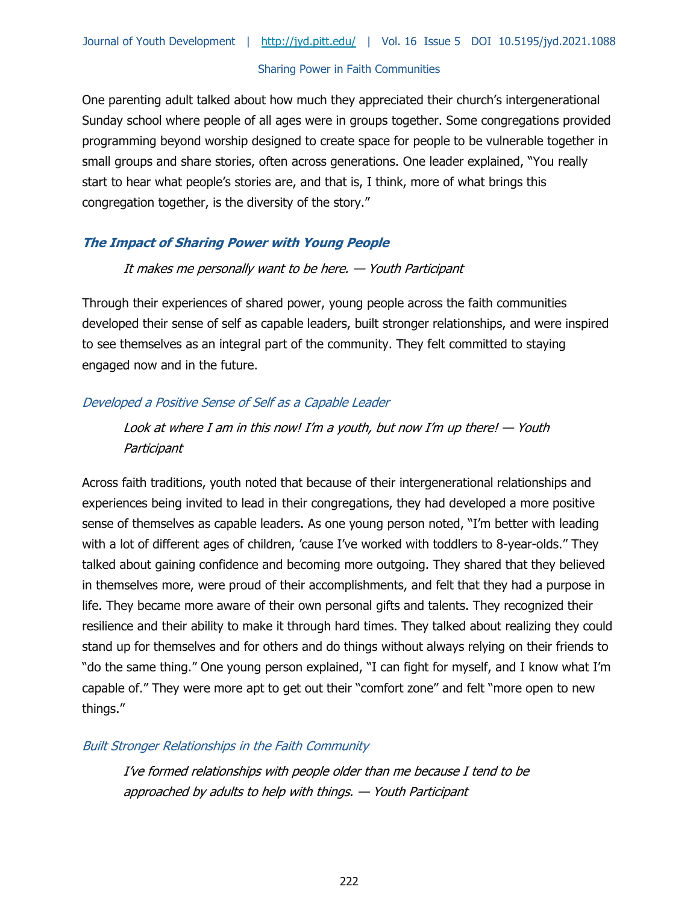One parenting adult talked about how much they appreciated their church's intergenerational Sunday school where people of all ages were in groups together. Some congregations provided programming beyond worship designed to create space for people to be vulnerable together in small groups and share stories, often across generations. One leader explained, "You really start to hear what people's stories are, and that is, I think, more of what brings this congregation together, is the diversity of the story."

# **The Impact of Sharing Power with Young People**

#### It makes me personally want to be here. — Youth Participant

Through their experiences of shared power, young people across the faith communities developed their sense of self as capable leaders, built stronger relationships, and were inspired to see themselves as an integral part of the community. They felt committed to staying engaged now and in the future.

# Developed a Positive Sense of Self as a Capable Leader

Look at where I am in this now! I'm a youth, but now I'm up there!  $-$  Youth **Participant** 

Across faith traditions, youth noted that because of their intergenerational relationships and experiences being invited to lead in their congregations, they had developed a more positive sense of themselves as capable leaders. As one young person noted, "I'm better with leading with a lot of different ages of children, 'cause I've worked with toddlers to 8-year-olds." They talked about gaining confidence and becoming more outgoing. They shared that they believed in themselves more, were proud of their accomplishments, and felt that they had a purpose in life. They became more aware of their own personal gifts and talents. They recognized their resilience and their ability to make it through hard times. They talked about realizing they could stand up for themselves and for others and do things without always relying on their friends to "do the same thing." One young person explained, "I can fight for myself, and I know what I'm capable of." They were more apt to get out their "comfort zone" and felt "more open to new things."

# Built Stronger Relationships in the Faith Community

I've formed relationships with people older than me because I tend to be approached by adults to help with things. — Youth Participant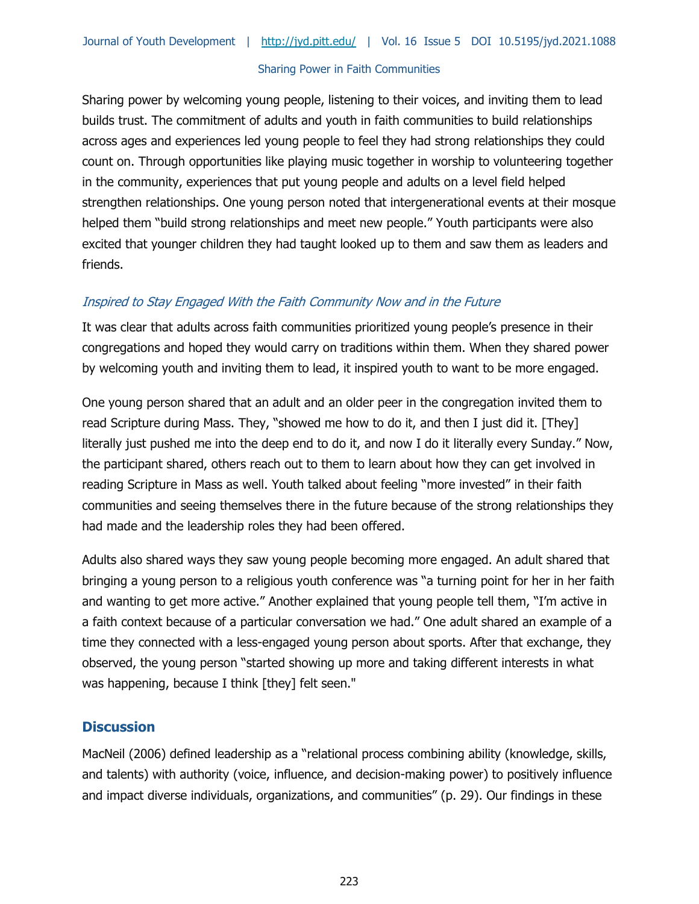Sharing power by welcoming young people, listening to their voices, and inviting them to lead builds trust. The commitment of adults and youth in faith communities to build relationships across ages and experiences led young people to feel they had strong relationships they could count on. Through opportunities like playing music together in worship to volunteering together in the community, experiences that put young people and adults on a level field helped strengthen relationships. One young person noted that intergenerational events at their mosque helped them "build strong relationships and meet new people." Youth participants were also excited that younger children they had taught looked up to them and saw them as leaders and friends.

# Inspired to Stay Engaged With the Faith Community Now and in the Future

It was clear that adults across faith communities prioritized young people's presence in their congregations and hoped they would carry on traditions within them. When they shared power by welcoming youth and inviting them to lead, it inspired youth to want to be more engaged.

One young person shared that an adult and an older peer in the congregation invited them to read Scripture during Mass. They, "showed me how to do it, and then I just did it. [They] literally just pushed me into the deep end to do it, and now I do it literally every Sunday." Now, the participant shared, others reach out to them to learn about how they can get involved in reading Scripture in Mass as well. Youth talked about feeling "more invested" in their faith communities and seeing themselves there in the future because of the strong relationships they had made and the leadership roles they had been offered.

Adults also shared ways they saw young people becoming more engaged. An adult shared that bringing a young person to a religious youth conference was "a turning point for her in her faith and wanting to get more active." Another explained that young people tell them, "I'm active in a faith context because of a particular conversation we had." One adult shared an example of a time they connected with a less-engaged young person about sports. After that exchange, they observed, the young person "started showing up more and taking different interests in what was happening, because I think [they] felt seen."

# **Discussion**

MacNeil (2006) defined leadership as a "relational process combining ability (knowledge, skills, and talents) with authority (voice, influence, and decision-making power) to positively influence and impact diverse individuals, organizations, and communities" (p. 29). Our findings in these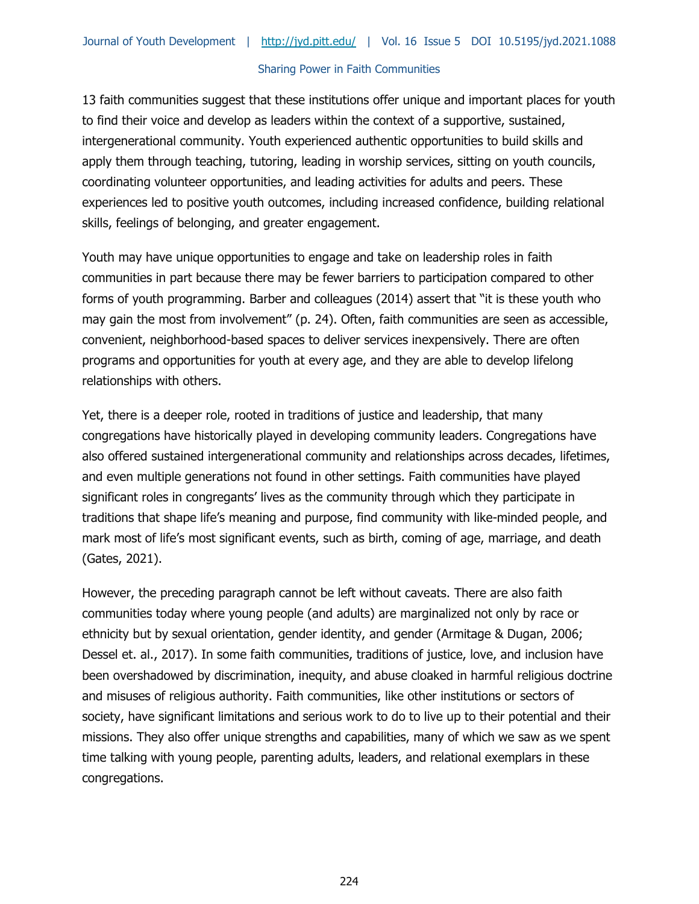13 faith communities suggest that these institutions offer unique and important places for youth to find their voice and develop as leaders within the context of a supportive, sustained, intergenerational community. Youth experienced authentic opportunities to build skills and apply them through teaching, tutoring, leading in worship services, sitting on youth councils, coordinating volunteer opportunities, and leading activities for adults and peers. These experiences led to positive youth outcomes, including increased confidence, building relational skills, feelings of belonging, and greater engagement.

Youth may have unique opportunities to engage and take on leadership roles in faith communities in part because there may be fewer barriers to participation compared to other forms of youth programming. Barber and colleagues (2014) assert that "it is these youth who may gain the most from involvement" (p. 24). Often, faith communities are seen as accessible, convenient, neighborhood-based spaces to deliver services inexpensively. There are often programs and opportunities for youth at every age, and they are able to develop lifelong relationships with others.

Yet, there is a deeper role, rooted in traditions of justice and leadership, that many congregations have historically played in developing community leaders. Congregations have also offered sustained intergenerational community and relationships across decades, lifetimes, and even multiple generations not found in other settings. Faith communities have played significant roles in congregants' lives as the community through which they participate in traditions that shape life's meaning and purpose, find community with like-minded people, and mark most of life's most significant events, such as birth, coming of age, marriage, and death (Gates, 2021).

However, the preceding paragraph cannot be left without caveats. There are also faith communities today where young people (and adults) are marginalized not only by race or ethnicity but by sexual orientation, gender identity, and gender (Armitage & Dugan, 2006; Dessel et. al., 2017). In some faith communities, traditions of justice, love, and inclusion have been overshadowed by discrimination, inequity, and abuse cloaked in harmful religious doctrine and misuses of religious authority. Faith communities, like other institutions or sectors of society, have significant limitations and serious work to do to live up to their potential and their missions. They also offer unique strengths and capabilities, many of which we saw as we spent time talking with young people, parenting adults, leaders, and relational exemplars in these congregations.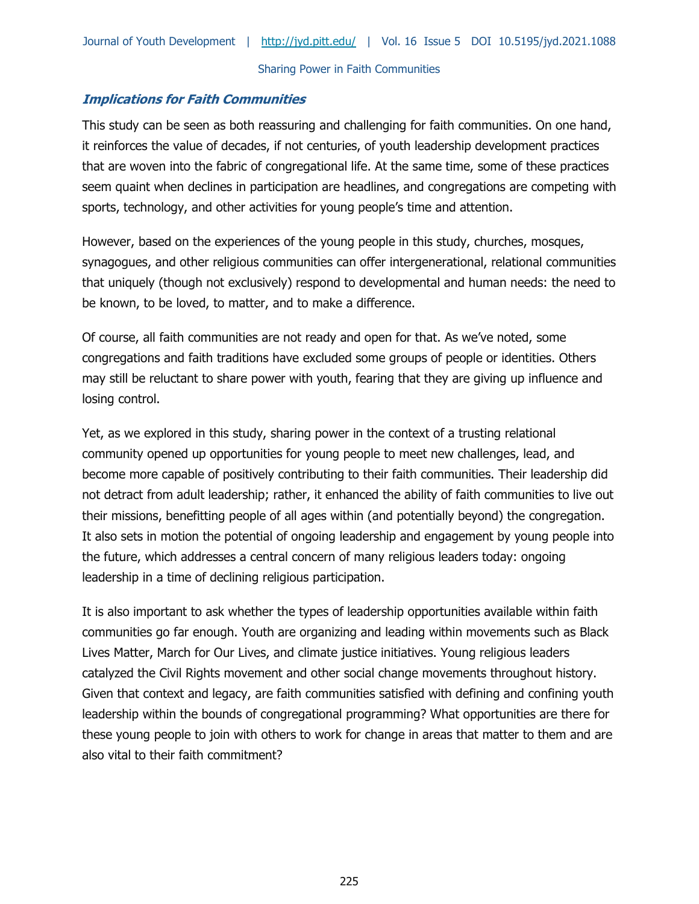#### **Implications for Faith Communities**

This study can be seen as both reassuring and challenging for faith communities. On one hand, it reinforces the value of decades, if not centuries, of youth leadership development practices that are woven into the fabric of congregational life. At the same time, some of these practices seem quaint when declines in participation are headlines, and congregations are competing with sports, technology, and other activities for young people's time and attention.

However, based on the experiences of the young people in this study, churches, mosques, synagogues, and other religious communities can offer intergenerational, relational communities that uniquely (though not exclusively) respond to developmental and human needs: the need to be known, to be loved, to matter, and to make a difference.

Of course, all faith communities are not ready and open for that. As we've noted, some congregations and faith traditions have excluded some groups of people or identities. Others may still be reluctant to share power with youth, fearing that they are giving up influence and losing control.

Yet, as we explored in this study, sharing power in the context of a trusting relational community opened up opportunities for young people to meet new challenges, lead, and become more capable of positively contributing to their faith communities. Their leadership did not detract from adult leadership; rather, it enhanced the ability of faith communities to live out their missions, benefitting people of all ages within (and potentially beyond) the congregation. It also sets in motion the potential of ongoing leadership and engagement by young people into the future, which addresses a central concern of many religious leaders today: ongoing leadership in a time of declining religious participation.

It is also important to ask whether the types of leadership opportunities available within faith communities go far enough. Youth are organizing and leading within movements such as Black Lives Matter, March for Our Lives, and climate justice initiatives. Young religious leaders catalyzed the Civil Rights movement and other social change movements throughout history. Given that context and legacy, are faith communities satisfied with defining and confining youth leadership within the bounds of congregational programming? What opportunities are there for these young people to join with others to work for change in areas that matter to them and are also vital to their faith commitment?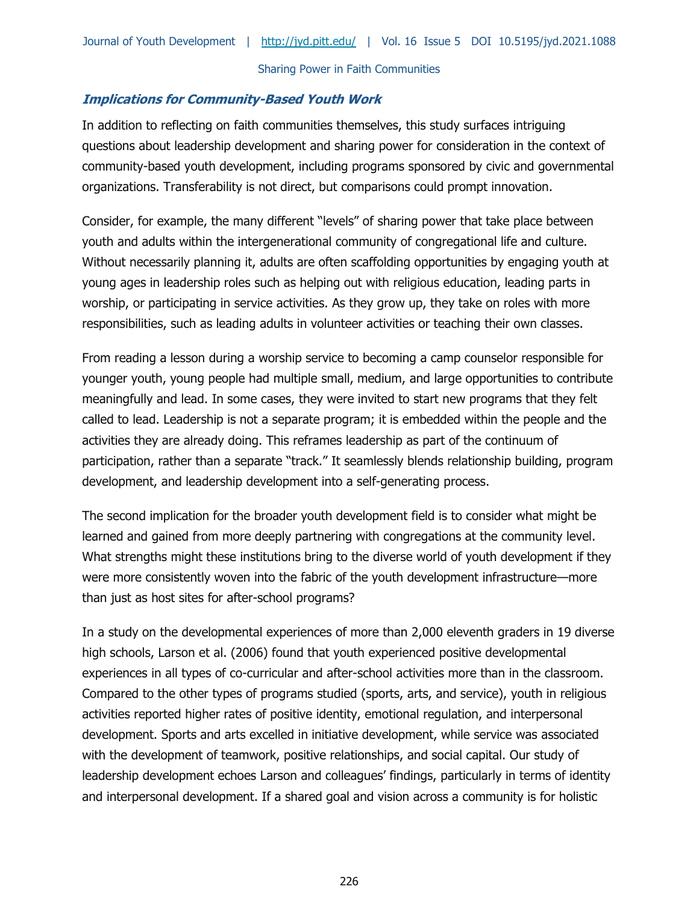#### **Implications for Community-Based Youth Work**

In addition to reflecting on faith communities themselves, this study surfaces intriguing questions about leadership development and sharing power for consideration in the context of community-based youth development, including programs sponsored by civic and governmental organizations. Transferability is not direct, but comparisons could prompt innovation.

Consider, for example, the many different "levels" of sharing power that take place between youth and adults within the intergenerational community of congregational life and culture. Without necessarily planning it, adults are often scaffolding opportunities by engaging youth at young ages in leadership roles such as helping out with religious education, leading parts in worship, or participating in service activities. As they grow up, they take on roles with more responsibilities, such as leading adults in volunteer activities or teaching their own classes.

From reading a lesson during a worship service to becoming a camp counselor responsible for younger youth, young people had multiple small, medium, and large opportunities to contribute meaningfully and lead. In some cases, they were invited to start new programs that they felt called to lead. Leadership is not a separate program; it is embedded within the people and the activities they are already doing. This reframes leadership as part of the continuum of participation, rather than a separate "track." It seamlessly blends relationship building, program development, and leadership development into a self-generating process.

The second implication for the broader youth development field is to consider what might be learned and gained from more deeply partnering with congregations at the community level. What strengths might these institutions bring to the diverse world of youth development if they were more consistently woven into the fabric of the youth development infrastructure—more than just as host sites for after-school programs?

In a study on the developmental experiences of more than 2,000 eleventh graders in 19 diverse high schools, Larson et al. (2006) found that youth experienced positive developmental experiences in all types of co-curricular and after-school activities more than in the classroom. Compared to the other types of programs studied (sports, arts, and service), youth in religious activities reported higher rates of positive identity, emotional regulation, and interpersonal development. Sports and arts excelled in initiative development, while service was associated with the development of teamwork, positive relationships, and social capital. Our study of leadership development echoes Larson and colleagues' findings, particularly in terms of identity and interpersonal development. If a shared goal and vision across a community is for holistic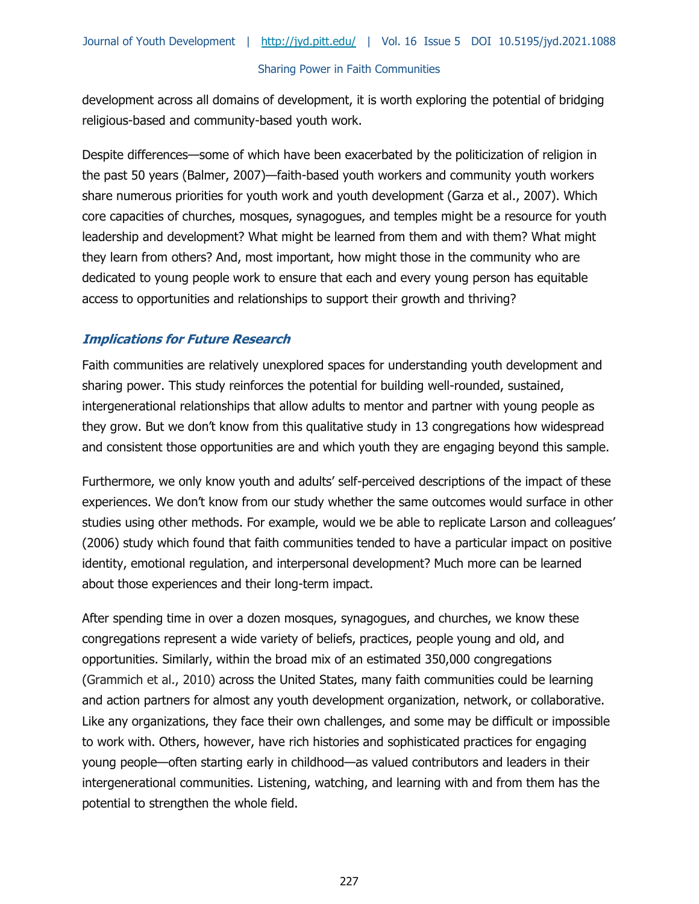development across all domains of development, it is worth exploring the potential of bridging religious-based and community-based youth work.

Despite differences—some of which have been exacerbated by the politicization of religion in the past 50 years (Balmer, 2007)—faith-based youth workers and community youth workers share numerous priorities for youth work and youth development (Garza et al., 2007). Which core capacities of churches, mosques, synagogues, and temples might be a resource for youth leadership and development? What might be learned from them and with them? What might they learn from others? And, most important, how might those in the community who are dedicated to young people work to ensure that each and every young person has equitable access to opportunities and relationships to support their growth and thriving?

#### **Implications for Future Research**

Faith communities are relatively unexplored spaces for understanding youth development and sharing power. This study reinforces the potential for building well-rounded, sustained, intergenerational relationships that allow adults to mentor and partner with young people as they grow. But we don't know from this qualitative study in 13 congregations how widespread and consistent those opportunities are and which youth they are engaging beyond this sample.

Furthermore, we only know youth and adults' self-perceived descriptions of the impact of these experiences. We don't know from our study whether the same outcomes would surface in other studies using other methods. For example, would we be able to replicate Larson and colleagues' (2006) study which found that faith communities tended to have a particular impact on positive identity, emotional regulation, and interpersonal development? Much more can be learned about those experiences and their long-term impact.

After spending time in over a dozen mosques, synagogues, and churches, we know these congregations represent a wide variety of beliefs, practices, people young and old, and opportunities. Similarly, within the broad mix of an estimated 350,000 congregations (Grammich et al., 2010) across the United States, many faith communities could be learning and action partners for almost any youth development organization, network, or collaborative. Like any organizations, they face their own challenges, and some may be difficult or impossible to work with. Others, however, have rich histories and sophisticated practices for engaging young people—often starting early in childhood—as valued contributors and leaders in their intergenerational communities. Listening, watching, and learning with and from them has the potential to strengthen the whole field.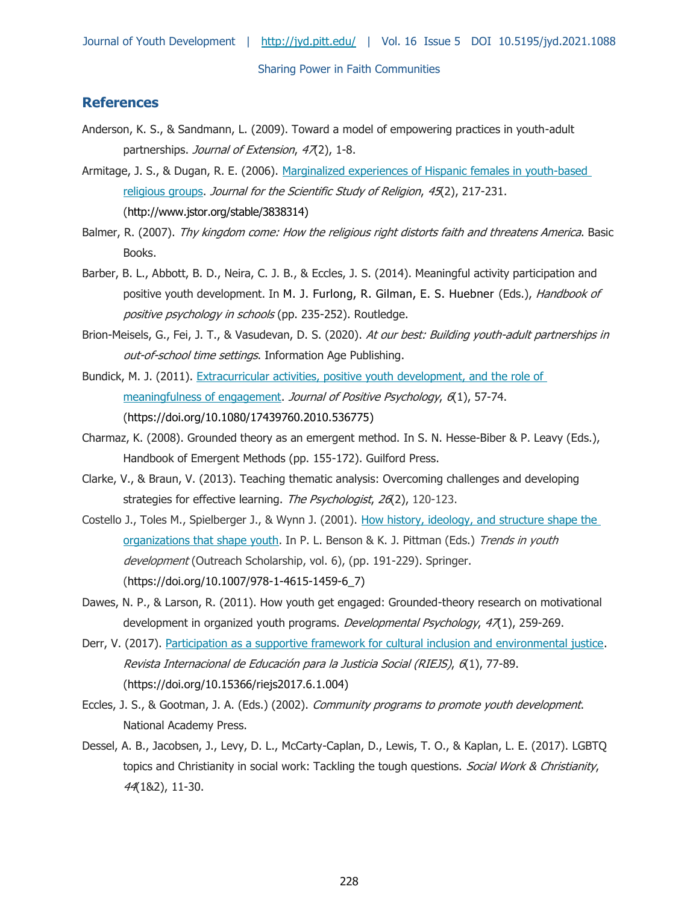# **References**

- Anderson, K. S., & Sandmann, L. (2009). Toward a model of empowering practices in youth-adult partnerships. Journal of Extension, 47(2), 1-8.
- Armitage, J. S., & Dugan, R. E. (2006). [Marginalized experiences of Hispanic females in youth‐based](http://www.jstor.org/stable/3838314)  [religious groups.](http://www.jstor.org/stable/3838314) Journal for the Scientific Study of Religion, 45(2), 217-231. (http://www.jstor.org/stable/3838314)
- Balmer, R. (2007). Thy kingdom come: How the religious right distorts faith and threatens America. Basic Books.
- Barber, B. L., Abbott, B. D., Neira, C. J. B., & Eccles, J. S. (2014). Meaningful activity participation and positive youth development. In M. J. Furlong, R. Gilman, E. S. Huebner (Eds.), *Handbook of* positive psychology in schools (pp. 235-252). Routledge.
- Brion-Meisels, G., Fei, J. T., & Vasudevan, D. S. (2020). At our best: Building youth-adult partnerships in out-of-school time settings. Information Age Publishing.
- Bundick, M. J. (2011). [Extracurricular activities, positive youth development, and the role of](https://doi.org/10.1080/17439760.2010.536775)  [meaningfulness of engagement.](https://doi.org/10.1080/17439760.2010.536775) Journal of Positive Psychology, 6(1), 57-74. (https://doi.org/10.1080/17439760.2010.536775)
- Charmaz, K. (2008). Grounded theory as an emergent method. In S. N. Hesse-Biber & P. Leavy (Eds.), Handbook of Emergent Methods (pp. 155-172). Guilford Press.
- Clarke, V., & Braun, V. (2013). Teaching thematic analysis: Overcoming challenges and developing strategies for effective learning. The Psychologist, 26(2), 120-123.
- Costello J., Toles M., Spielberger J., & Wynn J. (2001). [How history, ideology, and structure shape the](https://doi.org/10.1007/978-1-4615-1459-6_7)  [organizations that shape youth.](https://doi.org/10.1007/978-1-4615-1459-6_7) In P. L. Benson & K. J. Pittman (Eds.) Trends in youth development (Outreach Scholarship, vol. 6), (pp. 191-229). Springer. (https://doi.org/10.1007/978-1-4615-1459-6\_7)
- Dawes, N. P., & Larson, R. (2011). How youth get engaged: Grounded-theory research on motivational development in organized youth programs. *Developmental Psychology, 47*(1), 259-269.
- Derr, V. (2017). [Participation as a supportive framework for cultural inclusion and environmental justice.](https://doi.org/10.15366/riejs2017.6.1.004) Revista Internacional de Educación para la Justicia Social (RIEJS), 6(1), 77-89. (https://doi.org/10.15366/riejs2017.6.1.004)
- Eccles, J. S., & Gootman, J. A. (Eds.) (2002). Community programs to promote youth development. National Academy Press.
- Dessel, A. B., Jacobsen, J., Levy, D. L., McCarty-Caplan, D., Lewis, T. O., & Kaplan, L. E. (2017). LGBTQ topics and Christianity in social work: Tackling the tough questions. Social Work & Christianity, 44(1&2), 11-30.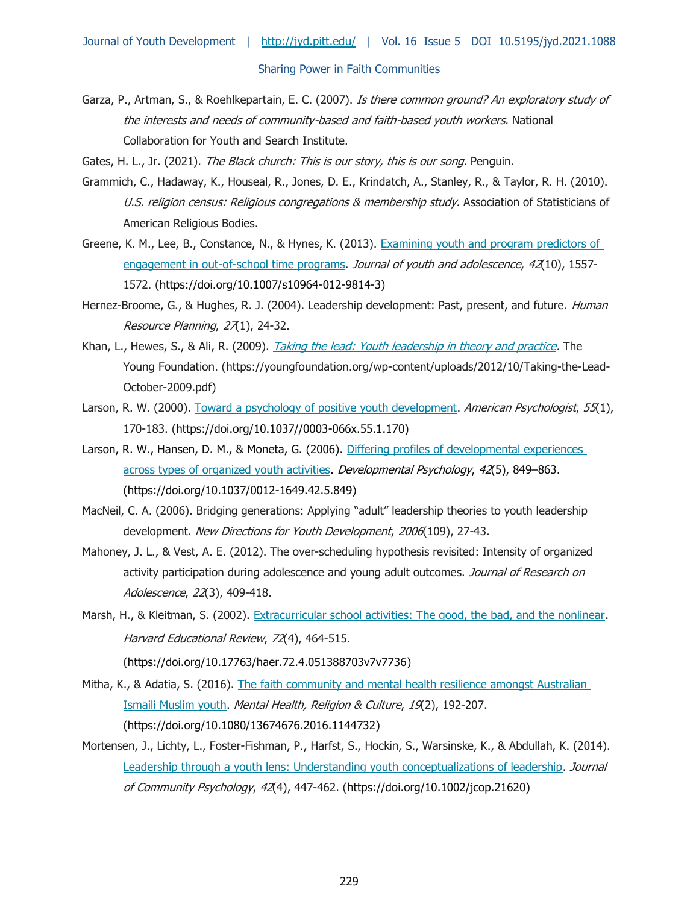Garza, P., Artman, S., & Roehlkepartain, E. C. (2007). Is there common ground? An exploratory study of the interests and needs of community-based and faith-based youth workers. National Collaboration for Youth and Search Institute.

Gates, H. L., Jr. (2021). The Black church: This is our story, this is our song. Penguin.

- Grammich, C., Hadaway, K., Houseal, R., Jones, D. E., Krindatch, A., Stanley, R., & Taylor, R. H. (2010). U.S. religion census: Religious congregations & membership study. Association of Statisticians of American Religious Bodies.
- Greene, K. M., Lee, B., Constance, N., & Hynes, K. (2013). [Examining youth and program predictors of](https://doi.org/10.1007/s10964-012-9814-3)  [engagement in out-of-school time programs.](https://doi.org/10.1007/s10964-012-9814-3) Journal of youth and adolescence, 42(10), 1557-1572. (https://doi.org/10.1007/s10964-012-9814-3)
- Hernez-Broome, G., & Hughes, R. J. (2004). Leadership development: Past, present, and future. *Human* Resource Planning, 27(1), 24-32.
- Khan, L., Hewes, S., & Ali, R. (2009). *[Taking the lead: Youth leadership in theory and practice.](file://///files.umn.edu/Ext/Share/YD/cbyrne/Kate%20Walker/JYD/Issues/d-2021-winter/05-formatted/1088-Sethi/.%20https:/youngfoundation.org/wp-content/uploads/2012/10/Taking-the-Lead-October-2009.pdf)* The Young Foundation. (https://youngfoundation.org/wp-content/uploads/2012/10/Taking-the-Lead-October-2009.pdf)
- Larson, R. W. (2000). [Toward a psychology of positive youth development.](https://doi.org/10.1037/0003-066x.55.1.170) American Psychologist, 55(1), 170-183. (https://doi.org/10.1037//0003-066x.55.1.170)
- Larson, R. W., Hansen, D. M., & Moneta, G. (2006). Differing profiles of developmental experiences [across types of organized youth activities.](https://doi.org/10.1037/0012-1649.42.5.849) Developmental Psychology, 42(5), 849-863. (https://doi.org/10.1037/0012-1649.42.5.849)
- MacNeil, C. A. (2006). Bridging generations: Applying "adult" leadership theories to youth leadership development. New Directions for Youth Development, 2006(109), 27-43.
- Mahoney, J. L., & Vest, A. E. (2012). The over-scheduling hypothesis revisited: Intensity of organized activity participation during adolescence and young adult outcomes. Journal of Research on Adolescence, 22(3), 409-418.
- Marsh, H., & Kleitman, S. (2002). [Extracurricular school activities: The good, the bad, and the nonlinear.](https://doi.org/10.17763/haer.72.4.051388703v7v7736) Harvard Educational Review, 72(4), 464-515. (https://doi.org/10.17763/haer.72.4.051388703v7v7736)
- Mitha, K., & Adatia, S. (2016). [The faith community and mental health resilience amongst Australian](https://doi.org/10.1080/13674676.2016.1144732)  [Ismaili Muslim youth.](https://doi.org/10.1080/13674676.2016.1144732) Mental Health, Religion & Culture, 19(2), 192-207. (https://doi.org/10.1080/13674676.2016.1144732)
- Mortensen, J., Lichty, L., Foster‐Fishman, P., Harfst, S., Hockin, S., Warsinske, K., & Abdullah, K. (2014). [Leadership through a youth lens: Understanding youth conceptualizations of leadership.](https://doi.org/10.1002/jcop.21620) Journal of Community Psychology, 42(4), 447-462. (https://doi.org/10.1002/jcop.21620)